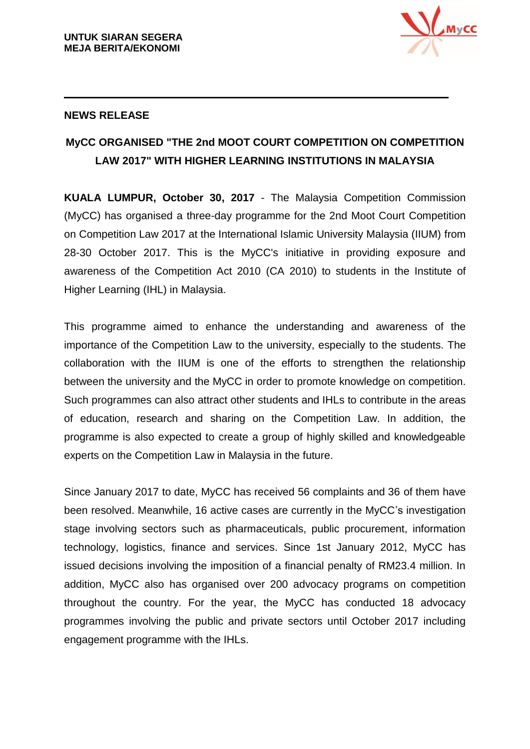

## **NEWS RELEASE**

## **MyCC ORGANISED "THE 2nd MOOT COURT COMPETITION ON COMPETITION LAW 2017" WITH HIGHER LEARNING INSTITUTIONS IN MALAYSIA**

**KUALA LUMPUR, October 30, 2017** - The Malaysia Competition Commission (MyCC) has organised a three-day programme for the 2nd Moot Court Competition on Competition Law 2017 at the International Islamic University Malaysia (IIUM) from 28-30 October 2017. This is the MyCC's initiative in providing exposure and awareness of the Competition Act 2010 (CA 2010) to students in the Institute of Higher Learning (IHL) in Malaysia.

This programme aimed to enhance the understanding and awareness of the importance of the Competition Law to the university, especially to the students. The collaboration with the IIUM is one of the efforts to strengthen the relationship between the university and the MyCC in order to promote knowledge on competition. Such programmes can also attract other students and IHLs to contribute in the areas of education, research and sharing on the Competition Law. In addition, the programme is also expected to create a group of highly skilled and knowledgeable experts on the Competition Law in Malaysia in the future.

Since January 2017 to date, MyCC has received 56 complaints and 36 of them have been resolved. Meanwhile, 16 active cases are currently in the MyCC's investigation stage involving sectors such as pharmaceuticals, public procurement, information technology, logistics, finance and services. Since 1st January 2012, MyCC has issued decisions involving the imposition of a financial penalty of RM23.4 million. In addition, MyCC also has organised over 200 advocacy programs on competition throughout the country. For the year, the MyCC has conducted 18 advocacy programmes involving the public and private sectors until October 2017 including engagement programme with the IHLs.